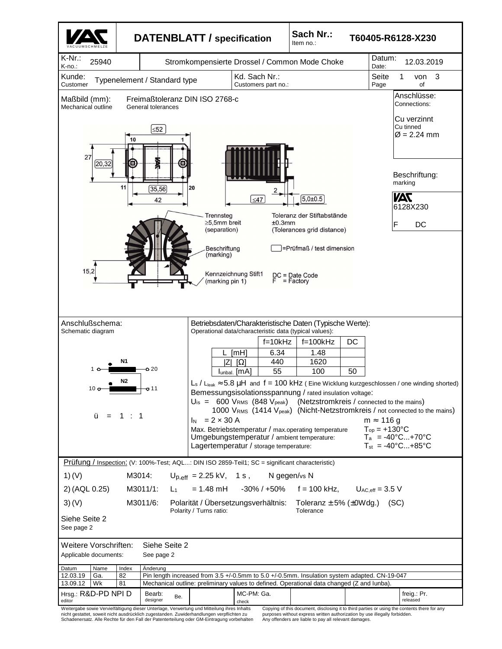

nicht gestattet, soweit nicht ausdrücklich zugestanden. Zuwiderhandlungen verpflichten zu Schadenersatz. Alle Rechte für den Fall der Patenterteilung oder GM-Eintragung vorbehalten

purposes without express written authorization by use illegally forbidden. Any offenders are liable to pay all relevant damages.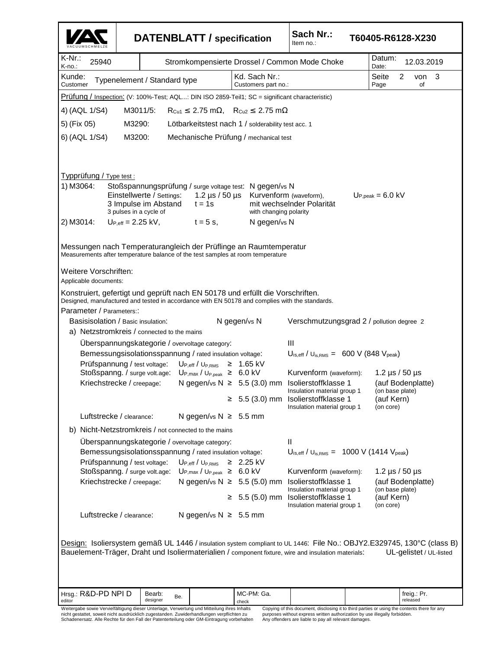| K-Nr.:<br>Datum:<br>25940<br>Stromkompensierte Drossel / Common Mode Choke<br>12.03.2019<br>K-no.:<br>Date:<br>Kd. Sach Nr.:<br>Seite<br>2<br>3<br>Kunde:<br>von<br>Typenelement / Standard type<br>Customer<br>Customers part no.:<br>Page<br>of<br>Prüfung / Inspection: (V: 100%-Test; AQL: DIN ISO 2859-Teil1; SC = significant characteristic)<br>4) (AQL 1/S4)<br>M3011/5:<br>$R_{Cu1} \leq 2.75$ m $\Omega$ , $R_{Cu2} \leq 2.75$ m $\Omega$<br>5) (Fix 05)<br>M3290:<br>Lötbarkeitstest nach 1 / solderability test acc. 1<br>6) (AQL 1/S4)<br>M3200:<br>Mechanische Prüfung / mechanical test<br>Typprüfung / Type test :<br>1) M3064:<br>Stoßspannungsprüfung / surge voltage test: N gegen/vs N<br>Einstellwerte / Settings:<br>1.2 $\mu$ s / 50 $\mu$ s<br>Kurvenform (waveform),<br>$Up,peak = 6.0$ kV<br>3 Impulse im Abstand<br>mit wechselnder Polarität<br>$t = 1s$<br>3 pulses in a cycle of<br>with changing polarity<br>2) M3014:<br>N gegen/vs N<br>$Up_{eff} = 2.25$ kV,<br>$t = 5$ s,<br>Messungen nach Temperaturangleich der Prüflinge an Raumtemperatur<br>Measurements after temperature balance of the test samples at room temperature<br>Weitere Vorschriften:<br>Applicable documents:<br>Konstruiert, gefertigt und geprüft nach EN 50178 und erfüllt die Vorschriften.<br>Designed, manufactured and tested in accordance with EN 50178 and complies with the standards.<br>Parameter / Parameters::<br>Basisisolation / Basic insulation:<br>N gegen/vs N<br>Verschmutzungsgrad 2 / pollution degree 2<br>a) Netzstromkreis / connected to the mains<br>Uberspannungskategorie / overvoltage category:<br>Ш<br>Bemessungsisolationsspannung / rated insulation voltage:<br>$U_{\text{is,eff}}$ / $U_{\text{is,RMS}} = 600 \text{ V}$ (848 $V_{\text{peak}}$ )<br>Prüfspannung / test voltage:<br>$U_{P,eff}/U_{P,RMS} \geq 1.65$ kV<br>Stoßspanng. / surge volt.age:<br>Kurvenform (waveform):<br>$U_{P,max} / U_{P,peak} \geq 6.0$ kV<br>1.2 $\mu$ s / 50 $\mu$ s<br>Kriechstrecke / creepage:<br>N gegen/vs N $\geq$ 5.5 (3.0) mm Isolierstoffklasse 1<br>(auf Bodenplatte)<br>Insulation material group 1<br>(on base plate)<br>$\geq$ 5.5 (3.0) mm Isolierstoffklasse 1<br>(auf Kern)<br>(on core)<br>Insulation material group 1<br>Luftstrecke / clearance:<br>N gegen/vs $N \geq 5.5$ mm<br>b) Nicht-Netzstromkreis / not connected to the mains<br>Überspannungskategorie / overvoltage category:<br>Ш<br>$U_{\text{is,eff}}$ / $U_{\text{is,RMS}} = 1000 \text{ V}$ (1414 $V_{\text{peak}}$ )<br>Bemessungsisolationsspannung / rated insulation voltage:<br>Prüfspannung / test voltage:<br>$\mathsf{U}_{\mathsf{P.eff}}$ / $\mathsf{U}_{\mathsf{P.RMS}}$<br>$\geq 2.25 \text{ kV}$<br>Stoßspanng. / surge volt.age:<br>$U_{P,max} / U_{P,peak} \geq 6.0$ kV<br>Kurvenform (waveform):<br>1.2 $\mu$ s / 50 $\mu$ s<br>N gegen/vs $N \geq 5.5$ (5.0) mm<br>Kriechstrecke / creepage:<br>Isolierstoffklasse 1<br>(auf Bodenplatte)<br>Insulation material group 1<br>(on base plate)<br>$\geq$ 5.5 (5.0) mm Isolierstoffklasse 1<br>(auf Kern)<br>Insulation material group 1<br>(on core)<br>Luftstrecke / clearance:<br>N gegen/vs $N \geq 5.5$ mm<br>Design: Isoliersystem gemäß UL 1446 / insulation system compliant to UL 1446: File No.: OBJY2.E329745, 130°C (class B)<br>Bauelement-Träger, Draht und Isoliermaterialien / component fixture, wire and insulation materials:<br>UL-gelistet / UL-listed<br>Hrsg.: R&D-PD NPI D<br>MC-PM: Ga.<br>Bearb:<br>freig.: Pr.<br>Be.<br>designer<br>released<br>editor<br>check<br>Weitergabe sowie Vervielfältigung dieser Unterlage, Verwertung und Mitteilung ihres Inhalts<br>Copying of this document, disclosing it to third parties or using the contents there for any |  |  |  |  |  |  | <b>DATENBLATT</b> / specification | Sach Nr.:<br>Item no.: |  | T60405-R6128-X230 |  |  |
|---------------------------------------------------------------------------------------------------------------------------------------------------------------------------------------------------------------------------------------------------------------------------------------------------------------------------------------------------------------------------------------------------------------------------------------------------------------------------------------------------------------------------------------------------------------------------------------------------------------------------------------------------------------------------------------------------------------------------------------------------------------------------------------------------------------------------------------------------------------------------------------------------------------------------------------------------------------------------------------------------------------------------------------------------------------------------------------------------------------------------------------------------------------------------------------------------------------------------------------------------------------------------------------------------------------------------------------------------------------------------------------------------------------------------------------------------------------------------------------------------------------------------------------------------------------------------------------------------------------------------------------------------------------------------------------------------------------------------------------------------------------------------------------------------------------------------------------------------------------------------------------------------------------------------------------------------------------------------------------------------------------------------------------------------------------------------------------------------------------------------------------------------------------------------------------------------------------------------------------------------------------------------------------------------------------------------------------------------------------------------------------------------------------------------------------------------------------------------------------------------------------------------------------------------------------------------------------------------------------------------------------------------------------------------------------------------------------------------------------------------------------------------------------------------------------------------------------------------------------------------------------------------------------------------------------------------------------------------------------------------------------------------------------------------------------------------------------------------------------------------------------------------------------------------------------------------------------------------------------------------------------------------------------------------------------------------------------------------------------------------------------------------------------------------------------------------------------------------------------------------------------------------------------------------------------------------------------------------------------------------------------------------------------------------------------------------------------------------------------------------------------------------|--|--|--|--|--|--|-----------------------------------|------------------------|--|-------------------|--|--|
|                                                                                                                                                                                                                                                                                                                                                                                                                                                                                                                                                                                                                                                                                                                                                                                                                                                                                                                                                                                                                                                                                                                                                                                                                                                                                                                                                                                                                                                                                                                                                                                                                                                                                                                                                                                                                                                                                                                                                                                                                                                                                                                                                                                                                                                                                                                                                                                                                                                                                                                                                                                                                                                                                                                                                                                                                                                                                                                                                                                                                                                                                                                                                                                                                                                                                                                                                                                                                                                                                                                                                                                                                                                                                                                                                                           |  |  |  |  |  |  |                                   |                        |  |                   |  |  |
|                                                                                                                                                                                                                                                                                                                                                                                                                                                                                                                                                                                                                                                                                                                                                                                                                                                                                                                                                                                                                                                                                                                                                                                                                                                                                                                                                                                                                                                                                                                                                                                                                                                                                                                                                                                                                                                                                                                                                                                                                                                                                                                                                                                                                                                                                                                                                                                                                                                                                                                                                                                                                                                                                                                                                                                                                                                                                                                                                                                                                                                                                                                                                                                                                                                                                                                                                                                                                                                                                                                                                                                                                                                                                                                                                                           |  |  |  |  |  |  |                                   |                        |  |                   |  |  |
|                                                                                                                                                                                                                                                                                                                                                                                                                                                                                                                                                                                                                                                                                                                                                                                                                                                                                                                                                                                                                                                                                                                                                                                                                                                                                                                                                                                                                                                                                                                                                                                                                                                                                                                                                                                                                                                                                                                                                                                                                                                                                                                                                                                                                                                                                                                                                                                                                                                                                                                                                                                                                                                                                                                                                                                                                                                                                                                                                                                                                                                                                                                                                                                                                                                                                                                                                                                                                                                                                                                                                                                                                                                                                                                                                                           |  |  |  |  |  |  |                                   |                        |  |                   |  |  |
|                                                                                                                                                                                                                                                                                                                                                                                                                                                                                                                                                                                                                                                                                                                                                                                                                                                                                                                                                                                                                                                                                                                                                                                                                                                                                                                                                                                                                                                                                                                                                                                                                                                                                                                                                                                                                                                                                                                                                                                                                                                                                                                                                                                                                                                                                                                                                                                                                                                                                                                                                                                                                                                                                                                                                                                                                                                                                                                                                                                                                                                                                                                                                                                                                                                                                                                                                                                                                                                                                                                                                                                                                                                                                                                                                                           |  |  |  |  |  |  |                                   |                        |  |                   |  |  |
|                                                                                                                                                                                                                                                                                                                                                                                                                                                                                                                                                                                                                                                                                                                                                                                                                                                                                                                                                                                                                                                                                                                                                                                                                                                                                                                                                                                                                                                                                                                                                                                                                                                                                                                                                                                                                                                                                                                                                                                                                                                                                                                                                                                                                                                                                                                                                                                                                                                                                                                                                                                                                                                                                                                                                                                                                                                                                                                                                                                                                                                                                                                                                                                                                                                                                                                                                                                                                                                                                                                                                                                                                                                                                                                                                                           |  |  |  |  |  |  |                                   |                        |  |                   |  |  |
|                                                                                                                                                                                                                                                                                                                                                                                                                                                                                                                                                                                                                                                                                                                                                                                                                                                                                                                                                                                                                                                                                                                                                                                                                                                                                                                                                                                                                                                                                                                                                                                                                                                                                                                                                                                                                                                                                                                                                                                                                                                                                                                                                                                                                                                                                                                                                                                                                                                                                                                                                                                                                                                                                                                                                                                                                                                                                                                                                                                                                                                                                                                                                                                                                                                                                                                                                                                                                                                                                                                                                                                                                                                                                                                                                                           |  |  |  |  |  |  |                                   |                        |  |                   |  |  |
|                                                                                                                                                                                                                                                                                                                                                                                                                                                                                                                                                                                                                                                                                                                                                                                                                                                                                                                                                                                                                                                                                                                                                                                                                                                                                                                                                                                                                                                                                                                                                                                                                                                                                                                                                                                                                                                                                                                                                                                                                                                                                                                                                                                                                                                                                                                                                                                                                                                                                                                                                                                                                                                                                                                                                                                                                                                                                                                                                                                                                                                                                                                                                                                                                                                                                                                                                                                                                                                                                                                                                                                                                                                                                                                                                                           |  |  |  |  |  |  |                                   |                        |  |                   |  |  |
|                                                                                                                                                                                                                                                                                                                                                                                                                                                                                                                                                                                                                                                                                                                                                                                                                                                                                                                                                                                                                                                                                                                                                                                                                                                                                                                                                                                                                                                                                                                                                                                                                                                                                                                                                                                                                                                                                                                                                                                                                                                                                                                                                                                                                                                                                                                                                                                                                                                                                                                                                                                                                                                                                                                                                                                                                                                                                                                                                                                                                                                                                                                                                                                                                                                                                                                                                                                                                                                                                                                                                                                                                                                                                                                                                                           |  |  |  |  |  |  |                                   |                        |  |                   |  |  |
|                                                                                                                                                                                                                                                                                                                                                                                                                                                                                                                                                                                                                                                                                                                                                                                                                                                                                                                                                                                                                                                                                                                                                                                                                                                                                                                                                                                                                                                                                                                                                                                                                                                                                                                                                                                                                                                                                                                                                                                                                                                                                                                                                                                                                                                                                                                                                                                                                                                                                                                                                                                                                                                                                                                                                                                                                                                                                                                                                                                                                                                                                                                                                                                                                                                                                                                                                                                                                                                                                                                                                                                                                                                                                                                                                                           |  |  |  |  |  |  |                                   |                        |  |                   |  |  |
|                                                                                                                                                                                                                                                                                                                                                                                                                                                                                                                                                                                                                                                                                                                                                                                                                                                                                                                                                                                                                                                                                                                                                                                                                                                                                                                                                                                                                                                                                                                                                                                                                                                                                                                                                                                                                                                                                                                                                                                                                                                                                                                                                                                                                                                                                                                                                                                                                                                                                                                                                                                                                                                                                                                                                                                                                                                                                                                                                                                                                                                                                                                                                                                                                                                                                                                                                                                                                                                                                                                                                                                                                                                                                                                                                                           |  |  |  |  |  |  |                                   |                        |  |                   |  |  |
|                                                                                                                                                                                                                                                                                                                                                                                                                                                                                                                                                                                                                                                                                                                                                                                                                                                                                                                                                                                                                                                                                                                                                                                                                                                                                                                                                                                                                                                                                                                                                                                                                                                                                                                                                                                                                                                                                                                                                                                                                                                                                                                                                                                                                                                                                                                                                                                                                                                                                                                                                                                                                                                                                                                                                                                                                                                                                                                                                                                                                                                                                                                                                                                                                                                                                                                                                                                                                                                                                                                                                                                                                                                                                                                                                                           |  |  |  |  |  |  |                                   |                        |  |                   |  |  |
|                                                                                                                                                                                                                                                                                                                                                                                                                                                                                                                                                                                                                                                                                                                                                                                                                                                                                                                                                                                                                                                                                                                                                                                                                                                                                                                                                                                                                                                                                                                                                                                                                                                                                                                                                                                                                                                                                                                                                                                                                                                                                                                                                                                                                                                                                                                                                                                                                                                                                                                                                                                                                                                                                                                                                                                                                                                                                                                                                                                                                                                                                                                                                                                                                                                                                                                                                                                                                                                                                                                                                                                                                                                                                                                                                                           |  |  |  |  |  |  |                                   |                        |  |                   |  |  |
|                                                                                                                                                                                                                                                                                                                                                                                                                                                                                                                                                                                                                                                                                                                                                                                                                                                                                                                                                                                                                                                                                                                                                                                                                                                                                                                                                                                                                                                                                                                                                                                                                                                                                                                                                                                                                                                                                                                                                                                                                                                                                                                                                                                                                                                                                                                                                                                                                                                                                                                                                                                                                                                                                                                                                                                                                                                                                                                                                                                                                                                                                                                                                                                                                                                                                                                                                                                                                                                                                                                                                                                                                                                                                                                                                                           |  |  |  |  |  |  |                                   |                        |  |                   |  |  |
|                                                                                                                                                                                                                                                                                                                                                                                                                                                                                                                                                                                                                                                                                                                                                                                                                                                                                                                                                                                                                                                                                                                                                                                                                                                                                                                                                                                                                                                                                                                                                                                                                                                                                                                                                                                                                                                                                                                                                                                                                                                                                                                                                                                                                                                                                                                                                                                                                                                                                                                                                                                                                                                                                                                                                                                                                                                                                                                                                                                                                                                                                                                                                                                                                                                                                                                                                                                                                                                                                                                                                                                                                                                                                                                                                                           |  |  |  |  |  |  |                                   |                        |  |                   |  |  |
|                                                                                                                                                                                                                                                                                                                                                                                                                                                                                                                                                                                                                                                                                                                                                                                                                                                                                                                                                                                                                                                                                                                                                                                                                                                                                                                                                                                                                                                                                                                                                                                                                                                                                                                                                                                                                                                                                                                                                                                                                                                                                                                                                                                                                                                                                                                                                                                                                                                                                                                                                                                                                                                                                                                                                                                                                                                                                                                                                                                                                                                                                                                                                                                                                                                                                                                                                                                                                                                                                                                                                                                                                                                                                                                                                                           |  |  |  |  |  |  |                                   |                        |  |                   |  |  |
|                                                                                                                                                                                                                                                                                                                                                                                                                                                                                                                                                                                                                                                                                                                                                                                                                                                                                                                                                                                                                                                                                                                                                                                                                                                                                                                                                                                                                                                                                                                                                                                                                                                                                                                                                                                                                                                                                                                                                                                                                                                                                                                                                                                                                                                                                                                                                                                                                                                                                                                                                                                                                                                                                                                                                                                                                                                                                                                                                                                                                                                                                                                                                                                                                                                                                                                                                                                                                                                                                                                                                                                                                                                                                                                                                                           |  |  |  |  |  |  |                                   |                        |  |                   |  |  |
|                                                                                                                                                                                                                                                                                                                                                                                                                                                                                                                                                                                                                                                                                                                                                                                                                                                                                                                                                                                                                                                                                                                                                                                                                                                                                                                                                                                                                                                                                                                                                                                                                                                                                                                                                                                                                                                                                                                                                                                                                                                                                                                                                                                                                                                                                                                                                                                                                                                                                                                                                                                                                                                                                                                                                                                                                                                                                                                                                                                                                                                                                                                                                                                                                                                                                                                                                                                                                                                                                                                                                                                                                                                                                                                                                                           |  |  |  |  |  |  |                                   |                        |  |                   |  |  |
|                                                                                                                                                                                                                                                                                                                                                                                                                                                                                                                                                                                                                                                                                                                                                                                                                                                                                                                                                                                                                                                                                                                                                                                                                                                                                                                                                                                                                                                                                                                                                                                                                                                                                                                                                                                                                                                                                                                                                                                                                                                                                                                                                                                                                                                                                                                                                                                                                                                                                                                                                                                                                                                                                                                                                                                                                                                                                                                                                                                                                                                                                                                                                                                                                                                                                                                                                                                                                                                                                                                                                                                                                                                                                                                                                                           |  |  |  |  |  |  |                                   |                        |  |                   |  |  |
|                                                                                                                                                                                                                                                                                                                                                                                                                                                                                                                                                                                                                                                                                                                                                                                                                                                                                                                                                                                                                                                                                                                                                                                                                                                                                                                                                                                                                                                                                                                                                                                                                                                                                                                                                                                                                                                                                                                                                                                                                                                                                                                                                                                                                                                                                                                                                                                                                                                                                                                                                                                                                                                                                                                                                                                                                                                                                                                                                                                                                                                                                                                                                                                                                                                                                                                                                                                                                                                                                                                                                                                                                                                                                                                                                                           |  |  |  |  |  |  |                                   |                        |  |                   |  |  |
|                                                                                                                                                                                                                                                                                                                                                                                                                                                                                                                                                                                                                                                                                                                                                                                                                                                                                                                                                                                                                                                                                                                                                                                                                                                                                                                                                                                                                                                                                                                                                                                                                                                                                                                                                                                                                                                                                                                                                                                                                                                                                                                                                                                                                                                                                                                                                                                                                                                                                                                                                                                                                                                                                                                                                                                                                                                                                                                                                                                                                                                                                                                                                                                                                                                                                                                                                                                                                                                                                                                                                                                                                                                                                                                                                                           |  |  |  |  |  |  |                                   |                        |  |                   |  |  |
|                                                                                                                                                                                                                                                                                                                                                                                                                                                                                                                                                                                                                                                                                                                                                                                                                                                                                                                                                                                                                                                                                                                                                                                                                                                                                                                                                                                                                                                                                                                                                                                                                                                                                                                                                                                                                                                                                                                                                                                                                                                                                                                                                                                                                                                                                                                                                                                                                                                                                                                                                                                                                                                                                                                                                                                                                                                                                                                                                                                                                                                                                                                                                                                                                                                                                                                                                                                                                                                                                                                                                                                                                                                                                                                                                                           |  |  |  |  |  |  |                                   |                        |  |                   |  |  |
|                                                                                                                                                                                                                                                                                                                                                                                                                                                                                                                                                                                                                                                                                                                                                                                                                                                                                                                                                                                                                                                                                                                                                                                                                                                                                                                                                                                                                                                                                                                                                                                                                                                                                                                                                                                                                                                                                                                                                                                                                                                                                                                                                                                                                                                                                                                                                                                                                                                                                                                                                                                                                                                                                                                                                                                                                                                                                                                                                                                                                                                                                                                                                                                                                                                                                                                                                                                                                                                                                                                                                                                                                                                                                                                                                                           |  |  |  |  |  |  |                                   |                        |  |                   |  |  |
|                                                                                                                                                                                                                                                                                                                                                                                                                                                                                                                                                                                                                                                                                                                                                                                                                                                                                                                                                                                                                                                                                                                                                                                                                                                                                                                                                                                                                                                                                                                                                                                                                                                                                                                                                                                                                                                                                                                                                                                                                                                                                                                                                                                                                                                                                                                                                                                                                                                                                                                                                                                                                                                                                                                                                                                                                                                                                                                                                                                                                                                                                                                                                                                                                                                                                                                                                                                                                                                                                                                                                                                                                                                                                                                                                                           |  |  |  |  |  |  |                                   |                        |  |                   |  |  |
|                                                                                                                                                                                                                                                                                                                                                                                                                                                                                                                                                                                                                                                                                                                                                                                                                                                                                                                                                                                                                                                                                                                                                                                                                                                                                                                                                                                                                                                                                                                                                                                                                                                                                                                                                                                                                                                                                                                                                                                                                                                                                                                                                                                                                                                                                                                                                                                                                                                                                                                                                                                                                                                                                                                                                                                                                                                                                                                                                                                                                                                                                                                                                                                                                                                                                                                                                                                                                                                                                                                                                                                                                                                                                                                                                                           |  |  |  |  |  |  |                                   |                        |  |                   |  |  |
|                                                                                                                                                                                                                                                                                                                                                                                                                                                                                                                                                                                                                                                                                                                                                                                                                                                                                                                                                                                                                                                                                                                                                                                                                                                                                                                                                                                                                                                                                                                                                                                                                                                                                                                                                                                                                                                                                                                                                                                                                                                                                                                                                                                                                                                                                                                                                                                                                                                                                                                                                                                                                                                                                                                                                                                                                                                                                                                                                                                                                                                                                                                                                                                                                                                                                                                                                                                                                                                                                                                                                                                                                                                                                                                                                                           |  |  |  |  |  |  |                                   |                        |  |                   |  |  |
| nicht gestattet, soweit nicht ausdrücklich zugestanden. Zuwiderhandlungen verpflichten zu<br>purposes without express written authorization by use illegally forbidden.                                                                                                                                                                                                                                                                                                                                                                                                                                                                                                                                                                                                                                                                                                                                                                                                                                                                                                                                                                                                                                                                                                                                                                                                                                                                                                                                                                                                                                                                                                                                                                                                                                                                                                                                                                                                                                                                                                                                                                                                                                                                                                                                                                                                                                                                                                                                                                                                                                                                                                                                                                                                                                                                                                                                                                                                                                                                                                                                                                                                                                                                                                                                                                                                                                                                                                                                                                                                                                                                                                                                                                                                   |  |  |  |  |  |  |                                   |                        |  |                   |  |  |